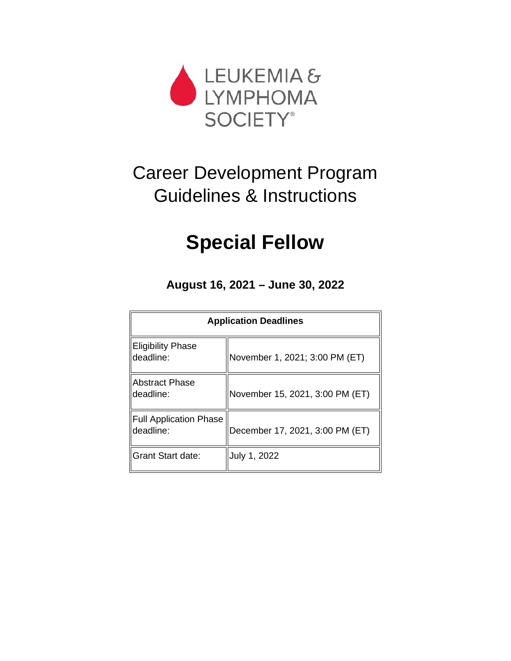

# Career Development Program Guidelines & Instructions

# **Special Fellow**

**August 16, 2021 – June 30, 2022**

| <b>Application Deadlines</b>               |                                 |  |
|--------------------------------------------|---------------------------------|--|
| <b>Eligibility Phase</b><br>deadline:      | November 1, 2021; 3:00 PM (ET)  |  |
| <b>Abstract Phase</b><br>deadline:         | November 15, 2021, 3:00 PM (ET) |  |
| <b>Full Application Phase</b><br>deadline: | December 17, 2021, 3:00 PM (ET) |  |
| Grant Start date:                          | July 1, 2022                    |  |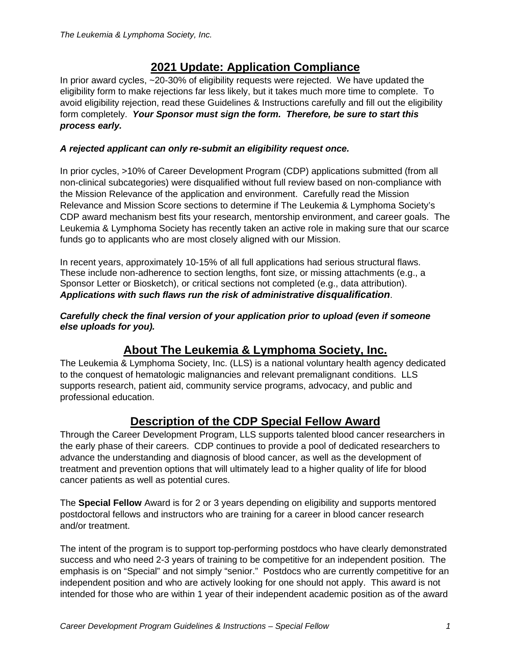# **2021 Update: Application Compliance**

In prior award cycles,  $\approx$ 20-30% of eligibility requests were rejected. We have updated the eligibility form to make rejections far less likely, but it takes much more time to complete. To avoid eligibility rejection, read these Guidelines & Instructions carefully and fill out the eligibility form completely. *Your Sponsor must sign the form. Therefore, be sure to start this process early.*

### *A rejected applicant can only re-submit an eligibility request once.*

In prior cycles, >10% of Career Development Program (CDP) applications submitted (from all non-clinical subcategories) were disqualified without full review based on non-compliance with the Mission Relevance of the application and environment. Carefully read the Mission Relevance and [Mission Score](#page-11-0) sections to determine if The Leukemia & Lymphoma Society's CDP award mechanism best fits your research, mentorship environment, and career goals. The Leukemia & Lymphoma Society has recently taken an active role in making sure that our scarce funds go to applicants who are most closely aligned with our Mission.

In recent years, approximately 10-15% of all full applications had serious structural flaws. These include non-adherence to section lengths, font size, or missing attachments (e.g., a Sponsor Letter or Biosketch), or critical sections not completed (e.g., data attribution). *Applications with such flaws run the risk of administrative disqualification*.

#### *Carefully check the final version of your application prior to upload (even if someone else uploads for you).*

# **About The Leukemia & Lymphoma Society, Inc.**

The Leukemia & Lymphoma Society, Inc. (LLS) is a national voluntary health agency dedicated to the conquest of hematologic malignancies and relevant premalignant conditions. LLS supports research, patient aid, community service programs, advocacy, and public and professional education.

# **Description of the CDP Special Fellow Award**

Through the Career Development Program, LLS supports talented blood cancer researchers in the early phase of their careers. CDP continues to provide a pool of dedicated researchers to advance the understanding and diagnosis of blood cancer, as well as the development of treatment and prevention options that will ultimately lead to a higher quality of life for blood cancer patients as well as potential cures.

The **Special Fellow** Award is for 2 or 3 years depending on eligibility and supports mentored postdoctoral fellows and instructors who are training for a career in blood cancer research and/or treatment.

The intent of the program is to support top-performing postdocs who have clearly demonstrated success and who need 2-3 years of training to be competitive for an independent position. The emphasis is on "Special" and not simply "senior." Postdocs who are currently competitive for an independent position and who are actively looking for one should not apply. This award is not intended for those who are within 1 year of their independent academic position as of the award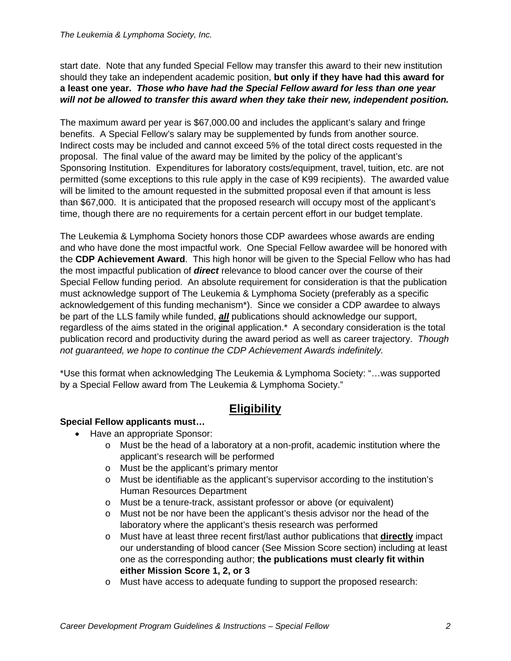#### *The Leukemia & Lymphoma Society, Inc.*

start date. Note that any funded Special Fellow may transfer this award to their new institution should they take an independent academic position, **but only if they have had this award for a least one year.** *Those who have had the Special Fellow award for less than one year will not be allowed to transfer this award when they take their new, independent position.*

The maximum award per year is \$67,000.00 and includes the applicant's salary and fringe benefits. A Special Fellow's salary may be supplemented by funds from another source. Indirect costs may be included and cannot exceed 5% of the total direct costs requested in the proposal. The final value of the award may be limited by the policy of the applicant's Sponsoring Institution. Expenditures for laboratory costs/equipment, travel, tuition, etc. are not permitted (some exceptions to this rule apply in the case of K99 recipients). The awarded value will be limited to the amount requested in the submitted proposal even if that amount is less than \$67,000. It is anticipated that the proposed research will occupy most of the applicant's time, though there are no requirements for a certain percent effort in our budget template.

The Leukemia & Lymphoma Society honors those CDP awardees whose awards are ending and who have done the most impactful work. One Special Fellow awardee will be honored with the **CDP Achievement Award**. This high honor will be given to the Special Fellow who has had the most impactful publication of *direct* relevance to blood cancer over the course of their Special Fellow funding period. An absolute requirement for consideration is that the publication must acknowledge support of The Leukemia & Lymphoma Society (preferably as a specific acknowledgement of this funding mechanism\*). Since we consider a CDP awardee to always be part of the LLS family while funded, *all* publications should acknowledge our support, regardless of the aims stated in the original application.\* A secondary consideration is the total publication record and productivity during the award period as well as career trajectory. *Though not guaranteed, we hope to continue the CDP Achievement Awards indefinitely.*

\*Use this format when acknowledging The Leukemia & Lymphoma Society: "…was supported by a Special Fellow award from The Leukemia & Lymphoma Society."

# **Eligibility**

#### **Special Fellow applicants must…**

- Have an appropriate Sponsor:
	- o Must be the head of a laboratory at a non-profit, academic institution where the applicant's research will be performed
	- o Must be the applicant's primary mentor
	- o Must be identifiable as the applicant's supervisor according to the institution's Human Resources Department
	- o Must be a tenure-track, assistant professor or above (or equivalent)
	- o Must not be nor have been the applicant's thesis advisor nor the head of the laboratory where the applicant's thesis research was performed
	- o Must have at least three recent first/last author publications that **directly** impact our understanding of blood cancer (See Mission Score section) including at least one as the corresponding author; **the publications must clearly fit within either Mission Score 1, 2, or 3**
	- o Must have access to adequate funding to support the proposed research: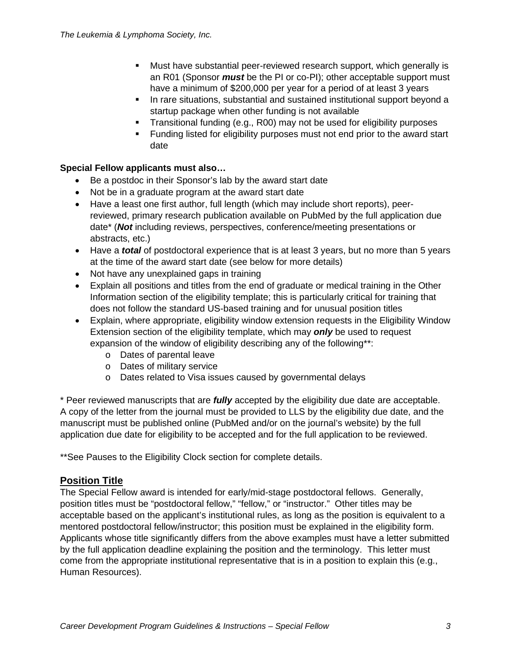- Must have substantial peer-reviewed research support, which generally is an R01 (Sponsor *must* be the PI or co-PI); other acceptable support must have a minimum of \$200,000 per year for a period of at least 3 years
- In rare situations, substantial and sustained institutional support beyond a startup package when other funding is not available
- Transitional funding (e.g., R00) may not be used for eligibility purposes
- **Funding listed for eligibility purposes must not end prior to the award start** date

### **Special Fellow applicants must also…**

- Be a postdoc in their Sponsor's lab by the award start date
- Not be in a graduate program at the award start date
- Have a least one first author, full length (which may include short reports), peerreviewed, primary research publication available on PubMed by the full application due date\* (*Not* including reviews, perspectives, conference/meeting presentations or abstracts, etc.)
- Have a *total* of postdoctoral experience that is at least 3 years, but no more than 5 years at the time of the award start date (see below for more details)
- Not have any unexplained gaps in training
- Explain all positions and titles from the end of graduate or medical training in the Other Information section of the eligibility template; this is particularly critical for training that does not follow the standard US-based training and for unusual position titles
- Explain, where appropriate, eligibility window extension requests in the Eligibility Window Extension section of the eligibility template, which may *only* be used to request expansion of the window of eligibility describing any of the following\*\*:
	- o Dates of parental leave
	- o Dates of military service
	- o Dates related to Visa issues caused by governmental delays

\* Peer reviewed manuscripts that are *fully* accepted by the eligibility due date are acceptable. A copy of the letter from the journal must be provided to LLS by the eligibility due date, and the manuscript must be published online (PubMed and/or on the journal's website) by the full application due date for eligibility to be accepted and for the full application to be reviewed.

\*\*See Pauses to the Eligibility Clock section for complete details.

## **Position Title**

The Special Fellow award is intended for early/mid-stage postdoctoral fellows. Generally, position titles must be "postdoctoral fellow," "fellow," or "instructor." Other titles may be acceptable based on the applicant's institutional rules, as long as the position is equivalent to a mentored postdoctoral fellow/instructor; this position must be explained in the eligibility form. Applicants whose title significantly differs from the above examples must have a letter submitted by the full application deadline explaining the position and the terminology. This letter must come from the appropriate institutional representative that is in a position to explain this (e.g., Human Resources).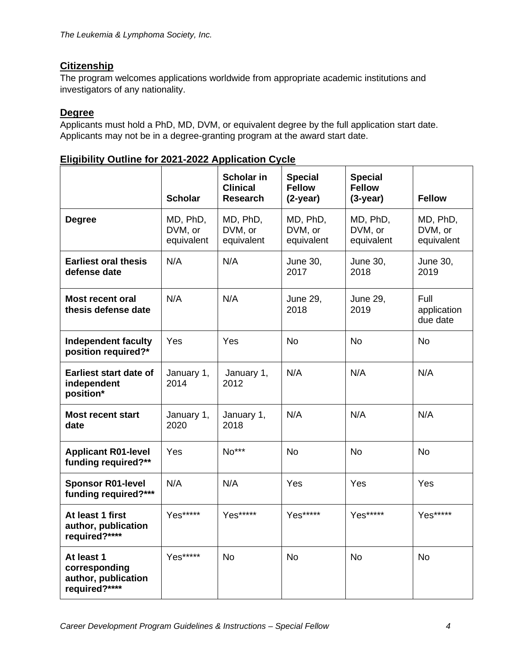# **Citizenship**

The program welcomes applications worldwide from appropriate academic institutions and investigators of any nationality.

## **Degree**

Applicants must hold a PhD, MD, DVM, or equivalent degree by the full application start date. Applicants may not be in a degree-granting program at the award start date.

| <b>Eligibility Outline for 2021-2022 Application Cycle</b> |
|------------------------------------------------------------|
|------------------------------------------------------------|

|                                                                     | <b>Scholar</b>                    | Scholar in<br><b>Clinical</b><br><b>Research</b> | <b>Special</b><br><b>Fellow</b><br>$(2-year)$ | <b>Special</b><br><b>Fellow</b><br>$(3-year)$ | <b>Fellow</b>                     |
|---------------------------------------------------------------------|-----------------------------------|--------------------------------------------------|-----------------------------------------------|-----------------------------------------------|-----------------------------------|
| <b>Degree</b>                                                       | MD, PhD,<br>DVM, or<br>equivalent | MD, PhD,<br>DVM, or<br>equivalent                | MD, PhD,<br>DVM, or<br>equivalent             | MD, PhD,<br>DVM, or<br>equivalent             | MD, PhD,<br>DVM, or<br>equivalent |
| <b>Earliest oral thesis</b><br>defense date                         | N/A                               | N/A                                              | <b>June 30,</b><br>2017                       | June 30,<br>2018                              | June 30,<br>2019                  |
| <b>Most recent oral</b><br>thesis defense date                      | N/A                               | N/A                                              | <b>June 29,</b><br>2018                       | <b>June 29,</b><br>2019                       | Full<br>application<br>due date   |
| <b>Independent faculty</b><br>position required?*                   | Yes                               | Yes                                              | <b>No</b>                                     | <b>No</b>                                     | <b>No</b>                         |
| <b>Earliest start date of</b><br>independent<br>position*           | January 1,<br>2014                | January 1,<br>2012                               | N/A                                           | N/A                                           | N/A                               |
| <b>Most recent start</b><br>date                                    | January 1,<br>2020                | January 1,<br>2018                               | N/A                                           | N/A                                           | N/A                               |
| <b>Applicant R01-level</b><br>funding required?**                   | Yes                               | No***                                            | <b>No</b>                                     | <b>No</b>                                     | <b>No</b>                         |
| <b>Sponsor R01-level</b><br>funding required?***                    | N/A                               | N/A                                              | Yes                                           | Yes                                           | Yes                               |
| At least 1 first<br>author, publication<br>required?****            | Yes*****                          | Yes*****                                         | Yes*****                                      | Yes*****                                      | Yes*****                          |
| At least 1<br>corresponding<br>author, publication<br>required?**** | Yes*****                          | <b>No</b>                                        | <b>No</b>                                     | <b>No</b>                                     | <b>No</b>                         |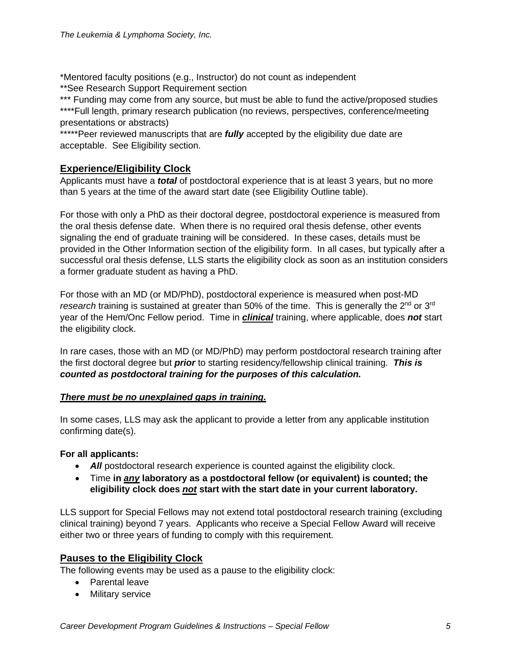\*Mentored faculty positions (e.g., Instructor) do not count as independent \*\*See Research Support Requirement section

\*\*\* Funding may come from any source, but must be able to fund the active/proposed studies \*\*\*\*Full length, primary research publication (no reviews, perspectives, conference/meeting presentations or abstracts)

\*\*\*\*\*Peer reviewed manuscripts that are *fully* accepted by the eligibility due date are acceptable. See Eligibility section.

#### **Experience/Eligibility Clock**

Applicants must have a *total* of postdoctoral experience that is at least 3 years, but no more than 5 years at the time of the award start date (see Eligibility Outline table).

For those with only a PhD as their doctoral degree, postdoctoral experience is measured from the oral thesis defense date. When there is no required oral thesis defense, other events signaling the end of graduate training will be considered. In these cases, details must be provided in the Other Information section of the eligibility form. In all cases, but typically after a successful oral thesis defense, LLS starts the eligibility clock as soon as an institution considers a former graduate student as having a PhD.

For those with an MD (or MD/PhD), postdoctoral experience is measured when post-MD research training is sustained at greater than 50% of the time. This is generally the 2<sup>nd</sup> or 3<sup>rd</sup> year of the Hem/Onc Fellow period. Time in *clinical* training, where applicable, does *not* start the eligibility clock.

In rare cases, those with an MD (or MD/PhD) may perform postdoctoral research training after the first doctoral degree but *prior* to starting residency/fellowship clinical training. *This is counted as postdoctoral training for the purposes of this calculation.*

#### *There must be no unexplained gaps in training.*

In some cases, LLS may ask the applicant to provide a letter from any applicable institution confirming date(s).

#### **For all applicants:**

- **All** postdoctoral research experience is counted against the eligibility clock.
- Time **in** *any* **laboratory as a postdoctoral fellow (or equivalent) is counted; the eligibility clock does** *not* **start with the start date in your current laboratory.**

LLS support for Special Fellows may not extend total postdoctoral research training (excluding clinical training) beyond 7 years. Applicants who receive a Special Fellow Award will receive either two or three years of funding to comply with this requirement.

#### **Pauses to the Eligibility Clock**

The following events may be used as a pause to the eligibility clock:

- Parental leave
- Military service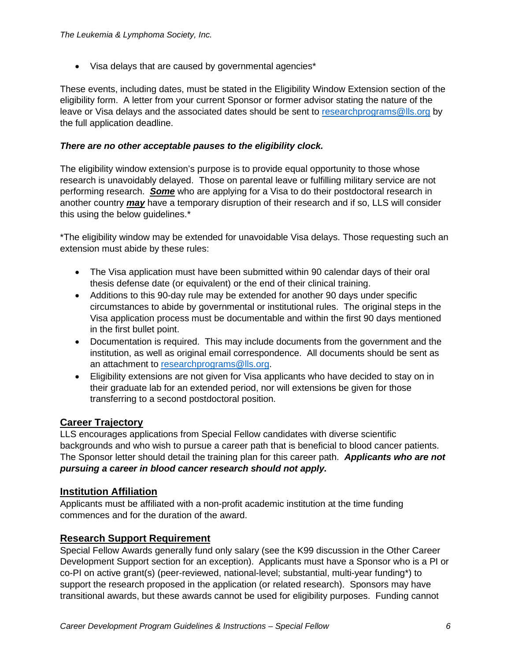• Visa delays that are caused by governmental agencies\*

These events, including dates, must be stated in the Eligibility Window Extension section of the eligibility form. A letter from your current Sponsor or former advisor stating the nature of the leave or Visa delays and the associated dates should be sent to [researchprograms@lls.org](mailto:researchprograms@lls.org) by the full application deadline.

#### *There are no other acceptable pauses to the eligibility clock.*

The eligibility window extension's purpose is to provide equal opportunity to those whose research is unavoidably delayed. Those on parental leave or fulfilling military service are not performing research. *Some* who are applying for a Visa to do their postdoctoral research in another country *may* have a temporary disruption of their research and if so, LLS will consider this using the below guidelines.\*

\*The eligibility window may be extended for unavoidable Visa delays. Those requesting such an extension must abide by these rules:

- The Visa application must have been submitted within 90 calendar days of their oral thesis defense date (or equivalent) or the end of their clinical training.
- Additions to this 90-day rule may be extended for another 90 days under specific circumstances to abide by governmental or institutional rules. The original steps in the Visa application process must be documentable and within the first 90 days mentioned in the first bullet point.
- Documentation is required. This may include documents from the government and the institution, as well as original email correspondence. All documents should be sent as an attachment to [researchprograms@lls.org.](mailto:researchprograms@lls.org)
- Eligibility extensions are not given for Visa applicants who have decided to stay on in their graduate lab for an extended period, nor will extensions be given for those transferring to a second postdoctoral position.

#### **Career Trajectory**

LLS encourages applications from Special Fellow candidates with diverse scientific backgrounds and who wish to pursue a career path that is beneficial to blood cancer patients. The Sponsor letter should detail the training plan for this career path. *Applicants who are not pursuing a career in blood cancer research should not apply.*

#### **Institution Affiliation**

Applicants must be affiliated with a non-profit academic institution at the time funding commences and for the duration of the award.

#### **Research Support Requirement**

Special Fellow Awards generally fund only salary (see the K99 discussion in the Other Career Development Support section for an exception). Applicants must have a Sponsor who is a PI or co-PI on active grant(s) (peer-reviewed, national-level; substantial, multi-year funding\*) to support the research proposed in the application (or related research). Sponsors may have transitional awards, but these awards cannot be used for eligibility purposes. Funding cannot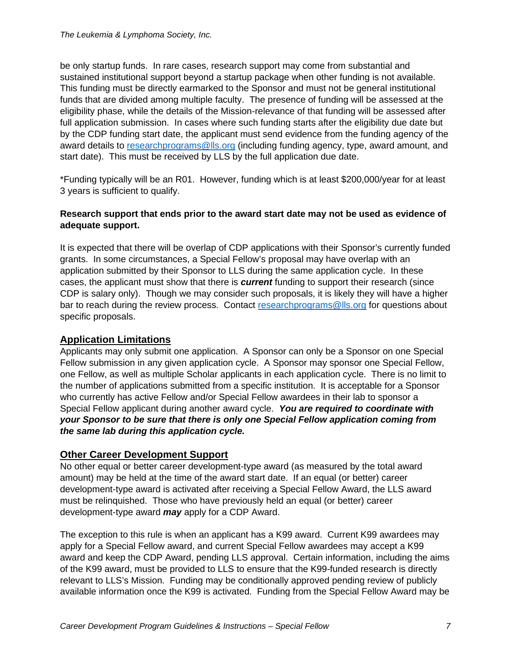be only startup funds. In rare cases, research support may come from substantial and sustained institutional support beyond a startup package when other funding is not available. This funding must be directly earmarked to the Sponsor and must not be general institutional funds that are divided among multiple faculty. The presence of funding will be assessed at the eligibility phase, while the details of the Mission-relevance of that funding will be assessed after full application submission. In cases where such funding starts after the eligibility due date but by the CDP funding start date, the applicant must send evidence from the funding agency of the award details to [researchprograms@lls.org](mailto:researchprograms@lls.org) (including funding agency, type, award amount, and start date). This must be received by LLS by the full application due date.

\*Funding typically will be an R01. However, funding which is at least \$200,000/year for at least 3 years is sufficient to qualify.

#### **Research support that ends prior to the award start date may not be used as evidence of adequate support.**

It is expected that there will be overlap of CDP applications with their Sponsor's currently funded grants. In some circumstances, a Special Fellow's proposal may have overlap with an application submitted by their Sponsor to LLS during the same application cycle. In these cases, the applicant must show that there is *current* funding to support their research (since CDP is salary only). Though we may consider such proposals, it is likely they will have a higher bar to reach during the review process. Contact [researchprograms@lls.org](mailto:researchprograms@lls.org) for questions about specific proposals.

## **Application Limitations**

Applicants may only submit one application. A Sponsor can only be a Sponsor on one Special Fellow submission in any given application cycle. A Sponsor may sponsor one Special Fellow, one Fellow, as well as multiple Scholar applicants in each application cycle. There is no limit to the number of applications submitted from a specific institution. It is acceptable for a Sponsor who currently has active Fellow and/or Special Fellow awardees in their lab to sponsor a Special Fellow applicant during another award cycle. *You are required to coordinate with your Sponsor to be sure that there is only one Special Fellow application coming from the same lab during this application cycle.*

#### **Other Career Development Support**

No other equal or better career development-type award (as measured by the total award amount) may be held at the time of the award start date. If an equal (or better) career development-type award is activated after receiving a Special Fellow Award, the LLS award must be relinquished. Those who have previously held an equal (or better) career development-type award *may* apply for a CDP Award.

The exception to this rule is when an applicant has a K99 award. Current K99 awardees may apply for a Special Fellow award, and current Special Fellow awardees may accept a K99 award and keep the CDP Award, pending LLS approval. Certain information, including the aims of the K99 award, must be provided to LLS to ensure that the K99-funded research is directly relevant to LLS's Mission. Funding may be conditionally approved pending review of publicly available information once the K99 is activated. Funding from the Special Fellow Award may be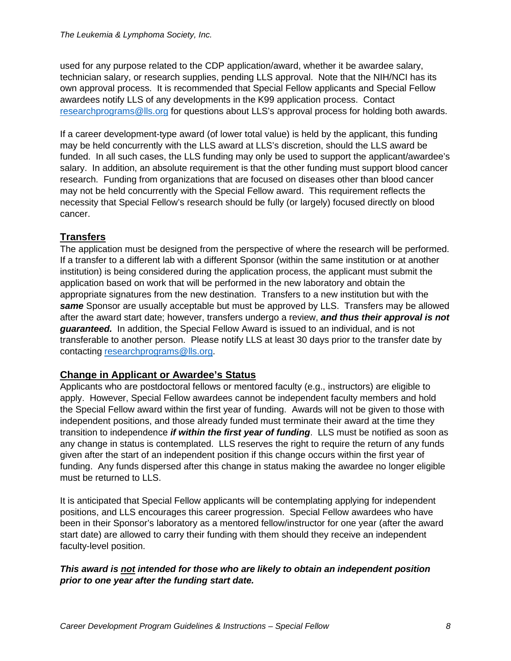used for any purpose related to the CDP application/award, whether it be awardee salary, technician salary, or research supplies, pending LLS approval. Note that the NIH/NCI has its own approval process. It is recommended that Special Fellow applicants and Special Fellow awardees notify LLS of any developments in the K99 application process. Contact [researchprograms@lls.org](mailto:researchprograms@lls.org) for questions about LLS's approval process for holding both awards.

If a career development-type award (of lower total value) is held by the applicant, this funding may be held concurrently with the LLS award at LLS's discretion, should the LLS award be funded. In all such cases, the LLS funding may only be used to support the applicant/awardee's salary. In addition, an absolute requirement is that the other funding must support blood cancer research. Funding from organizations that are focused on diseases other than blood cancer may not be held concurrently with the Special Fellow award. This requirement reflects the necessity that Special Fellow's research should be fully (or largely) focused directly on blood cancer.

## **Transfers**

The application must be designed from the perspective of where the research will be performed. If a transfer to a different lab with a different Sponsor (within the same institution or at another institution) is being considered during the application process, the applicant must submit the application based on work that will be performed in the new laboratory and obtain the appropriate signatures from the new destination. Transfers to a new institution but with the *same* Sponsor are usually acceptable but must be approved by LLS. Transfers may be allowed after the award start date; however, transfers undergo a review, *and thus their approval is not guaranteed.* In addition, the Special Fellow Award is issued to an individual, and is not transferable to another person. Please notify LLS at least 30 days prior to the transfer date by contacting [researchprograms@lls.org.](mailto:researchprograms@lls.org)

## **Change in Applicant or Awardee's Status**

Applicants who are postdoctoral fellows or mentored faculty (e.g., instructors) are eligible to apply. However, Special Fellow awardees cannot be independent faculty members and hold the Special Fellow award within the first year of funding. Awards will not be given to those with independent positions, and those already funded must terminate their award at the time they transition to independence *if within the first year of funding*. LLS must be notified as soon as any change in status is contemplated. LLS reserves the right to require the return of any funds given after the start of an independent position if this change occurs within the first year of funding. Any funds dispersed after this change in status making the awardee no longer eligible must be returned to LLS.

It is anticipated that Special Fellow applicants will be contemplating applying for independent positions, and LLS encourages this career progression. Special Fellow awardees who have been in their Sponsor's laboratory as a mentored fellow/instructor for one year (after the award start date) are allowed to carry their funding with them should they receive an independent faculty-level position.

#### *This award is not intended for those who are likely to obtain an independent position prior to one year after the funding start date.*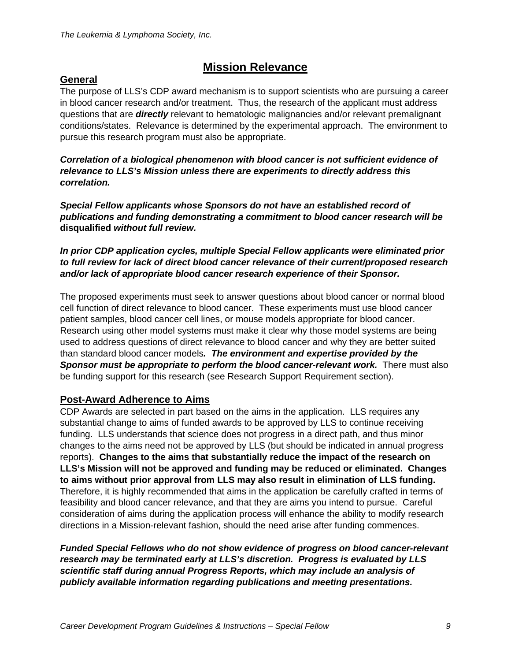# **Mission Relevance**

## **General**

The purpose of LLS's CDP award mechanism is to support scientists who are pursuing a career in blood cancer research and/or treatment. Thus, the research of the applicant must address questions that are *directly* relevant to hematologic malignancies and/or relevant premalignant conditions/states. Relevance is determined by the experimental approach. The environment to pursue this research program must also be appropriate.

*Correlation of a biological phenomenon with blood cancer is not sufficient evidence of relevance to LLS's Mission unless there are experiments to directly address this correlation.*

*Special Fellow applicants whose Sponsors do not have an established record of publications and funding demonstrating a commitment to blood cancer research will be*  **disqualified** *without full review.*

*In prior CDP application cycles, multiple Special Fellow applicants were eliminated prior to full review for lack of direct blood cancer relevance of their current/proposed research and/or lack of appropriate blood cancer research experience of their Sponsor.*

The proposed experiments must seek to answer questions about blood cancer or normal blood cell function of direct relevance to blood cancer. These experiments must use blood cancer patient samples, blood cancer cell lines, or mouse models appropriate for blood cancer. Research using other model systems must make it clear why those model systems are being used to address questions of direct relevance to blood cancer and why they are better suited than standard blood cancer models*. The environment and expertise provided by the Sponsor must be appropriate to perform the blood cancer-relevant work.* There must also be funding support for this research (see Research Support Requirement section).

#### **Post-Award Adherence to Aims**

CDP Awards are selected in part based on the aims in the application. LLS requires any substantial change to aims of funded awards to be approved by LLS to continue receiving funding. LLS understands that science does not progress in a direct path, and thus minor changes to the aims need not be approved by LLS (but should be indicated in annual progress reports). **Changes to the aims that substantially reduce the impact of the research on LLS's Mission will not be approved and funding may be reduced or eliminated. Changes to aims without prior approval from LLS may also result in elimination of LLS funding.**  Therefore, it is highly recommended that aims in the application be carefully crafted in terms of feasibility and blood cancer relevance, and that they are aims you intend to pursue. Careful consideration of aims during the application process will enhance the ability to modify research directions in a Mission-relevant fashion, should the need arise after funding commences.

*Funded Special Fellows who do not show evidence of progress on blood cancer-relevant research may be terminated early at LLS's discretion. Progress is evaluated by LLS scientific staff during annual Progress Reports, which may include an analysis of publicly available information regarding publications and meeting presentations.*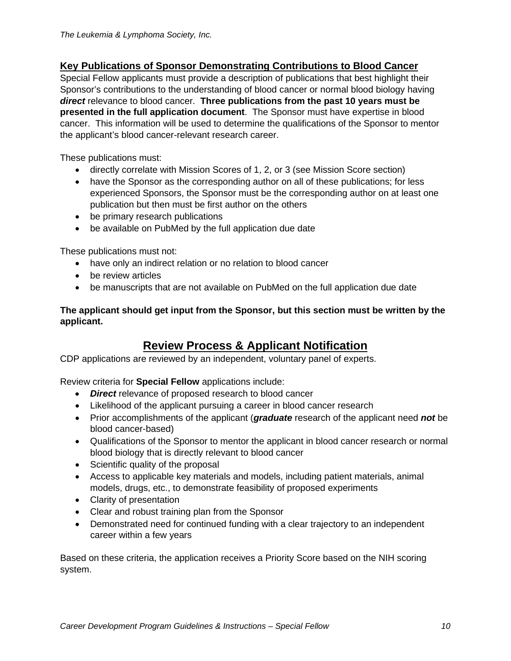## **Key Publications of Sponsor Demonstrating Contributions to Blood Cancer**

Special Fellow applicants must provide a description of publications that best highlight their Sponsor's contributions to the understanding of blood cancer or normal blood biology having *direct* relevance to blood cancer. **Three publications from the past 10 years must be presented in the full application document**. The Sponsor must have expertise in blood cancer. This information will be used to determine the qualifications of the Sponsor to mentor the applicant's blood cancer-relevant research career.

These publications must:

- directly correlate with Mission Scores of 1, 2, or 3 (see Mission Score section)
- have the Sponsor as the corresponding author on all of these publications; for less experienced Sponsors, the Sponsor must be the corresponding author on at least one publication but then must be first author on the others
- be primary research publications
- be available on PubMed by the full application due date

These publications must not:

- have only an indirect relation or no relation to blood cancer
- be review articles
- be manuscripts that are not available on PubMed on the full application due date

#### **The applicant should get input from the Sponsor, but this section must be written by the applicant.**

# **Review Process & Applicant Notification**

CDP applications are reviewed by an independent, voluntary panel of experts.

Review criteria for **Special Fellow** applications include:

- *Direct* relevance of proposed research to blood cancer
- Likelihood of the applicant pursuing a career in blood cancer research
- Prior accomplishments of the applicant (*graduate* research of the applicant need *not* be blood cancer-based)
- Qualifications of the Sponsor to mentor the applicant in blood cancer research or normal blood biology that is directly relevant to blood cancer
- Scientific quality of the proposal
- Access to applicable key materials and models, including patient materials, animal models, drugs, etc., to demonstrate feasibility of proposed experiments
- Clarity of presentation
- Clear and robust training plan from the Sponsor
- Demonstrated need for continued funding with a clear trajectory to an independent career within a few years

Based on these criteria, the application receives a Priority Score based on the NIH scoring system.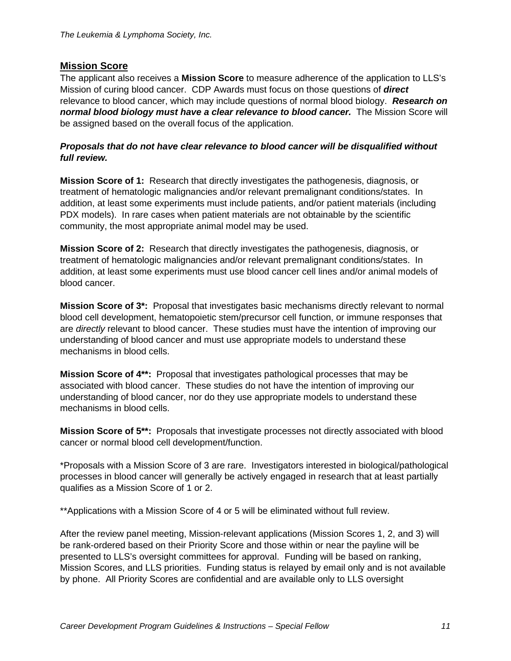## <span id="page-11-0"></span>**Mission Score**

The applicant also receives a **Mission Score** to measure adherence of the application to LLS's Mission of curing blood cancer. CDP Awards must focus on those questions of *direct* relevance to blood cancer, which may include questions of normal blood biology. *Research on normal blood biology must have a clear relevance to blood cancer.* The Mission Score will be assigned based on the overall focus of the application.

#### *Proposals that do not have clear relevance to blood cancer will be disqualified without full review.*

**Mission Score of 1:** Research that directly investigates the pathogenesis, diagnosis, or treatment of hematologic malignancies and/or relevant premalignant conditions/states. In addition, at least some experiments must include patients, and/or patient materials (including PDX models). In rare cases when patient materials are not obtainable by the scientific community, the most appropriate animal model may be used.

**Mission Score of 2:** Research that directly investigates the pathogenesis, diagnosis, or treatment of hematologic malignancies and/or relevant premalignant conditions/states. In addition, at least some experiments must use blood cancer cell lines and/or animal models of blood cancer.

**Mission Score of 3\*:** Proposal that investigates basic mechanisms directly relevant to normal blood cell development, hematopoietic stem/precursor cell function, or immune responses that are *directly* relevant to blood cancer. These studies must have the intention of improving our understanding of blood cancer and must use appropriate models to understand these mechanisms in blood cells.

**Mission Score of 4\*\*:** Proposal that investigates pathological processes that may be associated with blood cancer. These studies do not have the intention of improving our understanding of blood cancer, nor do they use appropriate models to understand these mechanisms in blood cells.

**Mission Score of 5\*\*:** Proposals that investigate processes not directly associated with blood cancer or normal blood cell development/function.

\*Proposals with a Mission Score of 3 are rare. Investigators interested in biological/pathological processes in blood cancer will generally be actively engaged in research that at least partially qualifies as a Mission Score of 1 or 2.

\*\*Applications with a Mission Score of 4 or 5 will be eliminated without full review.

After the review panel meeting, Mission-relevant applications (Mission Scores 1, 2, and 3) will be rank-ordered based on their Priority Score and those within or near the payline will be presented to LLS's oversight committees for approval. Funding will be based on ranking, Mission Scores, and LLS priorities. Funding status is relayed by email only and is not available by phone. All Priority Scores are confidential and are available only to LLS oversight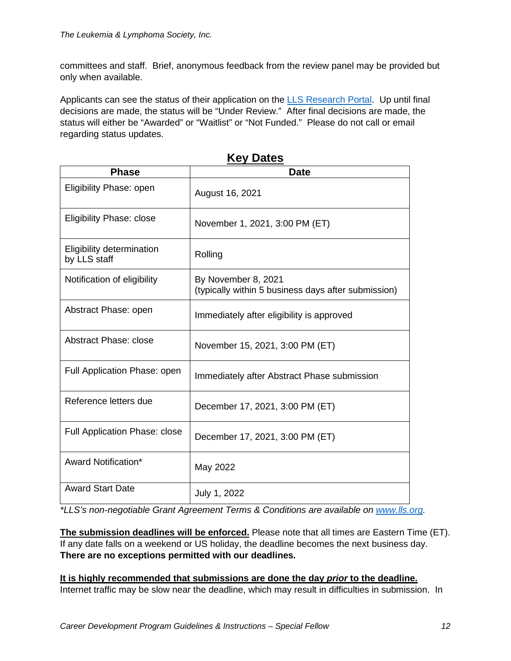committees and staff. Brief, anonymous feedback from the review panel may be provided but only when available.

Applicants can see the status of their application on the [LLS Research Portal.](https://lls.fluxx.io/) Up until final decisions are made, the status will be "Under Review." After final decisions are made, the status will either be "Awarded" or "Waitlist" or "Not Funded." Please do not call or email regarding status updates.

| <b>Phase</b>                              | <b>Date</b>                                                                |
|-------------------------------------------|----------------------------------------------------------------------------|
| Eligibility Phase: open                   | August 16, 2021                                                            |
| <b>Eligibility Phase: close</b>           | November 1, 2021, 3:00 PM (ET)                                             |
| Eligibility determination<br>by LLS staff | Rolling                                                                    |
| Notification of eligibility               | By November 8, 2021<br>(typically within 5 business days after submission) |
| Abstract Phase: open                      | Immediately after eligibility is approved                                  |
| Abstract Phase: close                     | November 15, 2021, 3:00 PM (ET)                                            |
| Full Application Phase: open              | Immediately after Abstract Phase submission                                |
| Reference letters due                     | December 17, 2021, 3:00 PM (ET)                                            |
| <b>Full Application Phase: close</b>      | December 17, 2021, 3:00 PM (ET)                                            |
| Award Notification*                       | May 2022                                                                   |
| <b>Award Start Date</b>                   | July 1, 2022                                                               |

**Key Dates**

*\*LLS's non-negotiable Grant Agreement Terms & Conditions are available on [www.lls.org.](http://www.lls.org/)*

**The submission deadlines will be enforced.** Please note that all times are Eastern Time (ET). If any date falls on a weekend or US holiday, the deadline becomes the next business day. **There are no exceptions permitted with our deadlines.**

**It is highly recommended that submissions are done the day** *prior* **to the deadline.** Internet traffic may be slow near the deadline, which may result in difficulties in submission. In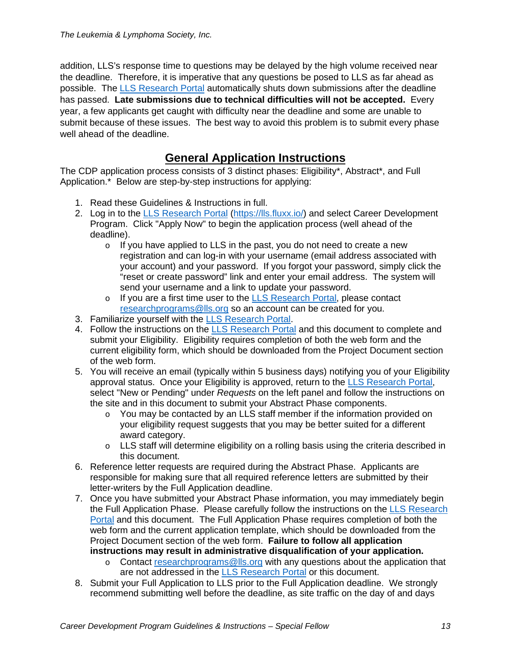addition, LLS's response time to questions may be delayed by the high volume received near the deadline. Therefore, it is imperative that any questions be posed to LLS as far ahead as possible. The [LLS Research Portal](https://lls.fluxx.io/) automatically shuts down submissions after the deadline has passed. **Late submissions due to technical difficulties will not be accepted.** Every year, a few applicants get caught with difficulty near the deadline and some are unable to submit because of these issues. The best way to avoid this problem is to submit every phase well ahead of the deadline.

# **General Application Instructions**

The CDP application process consists of 3 distinct phases: Eligibility\*, Abstract\*, and Full Application.\* Below are step-by-step instructions for applying:

- 1. Read these Guidelines & Instructions in full.
- 2. Log in to the LLS [Research](https://lls.fluxx.io/) Portal [\(https://lls.fluxx.io/\)](https://lls.fluxx.io/) and select Career Development Program. Click "Apply Now" to begin the application process (well ahead of the deadline).
	- $\circ$  If you have applied to LLS in the past, you do not need to create a new registration and can log-in with your username (email address associated with your account) and your password. If you forgot your password, simply click the "reset or create password" link and enter your email address. The system will send your username and a link to update your password.
	- o If you are a first time user to the [LLS Research Portal,](https://lls.fluxx.io/) please contact [researchprograms@lls.org](mailto:researchprograms@lls.org) so an account can be created for you.
- 3. Familiarize yourself with the [LLS Research Portal.](https://lls.fluxx.io/)
- 4. Follow the instructions on the [LLS Research Portal](https://lls.fluxx.io/) and this document to complete and submit your Eligibility. Eligibility requires completion of both the web form and the current eligibility form, which should be downloaded from the Project Document section of the web form.
- 5. You will receive an email (typically within 5 business days) notifying you of your Eligibility approval status. Once your Eligibility is approved, return to the [LLS Research Portal,](https://lls.fluxx.io/) select "New or Pending" under *Requests* on the left panel and follow the instructions on the site and in this document to submit your Abstract Phase components.
	- o You may be contacted by an LLS staff member if the information provided on your eligibility request suggests that you may be better suited for a different award category.
	- $\circ$  LLS staff will determine eligibility on a rolling basis using the criteria described in this document.
- 6. Reference letter requests are required during the Abstract Phase. Applicants are responsible for making sure that all required reference letters are submitted by their letter-writers by the Full Application deadline.
- 7. Once you have submitted your Abstract Phase information, you may immediately begin the Full Application Phase. Please carefully follow the instructions on the [LLS Research](https://lls.fluxx.io/)  [Portal](https://lls.fluxx.io/) and this document. The Full Application Phase requires completion of both the web form and the current application template, which should be downloaded from the Project Document section of the web form. **Failure to follow all application instructions may result in administrative disqualification of your application.**
	- o Contact [researchprograms@lls.org](mailto:researchprograms@lls.org) with any questions about the application that are not addressed in the [LLS Research Portal](https://lls.fluxx.io/) or this document.
- 8. Submit your Full Application to LLS prior to the Full Application deadline. We strongly recommend submitting well before the deadline, as site traffic on the day of and days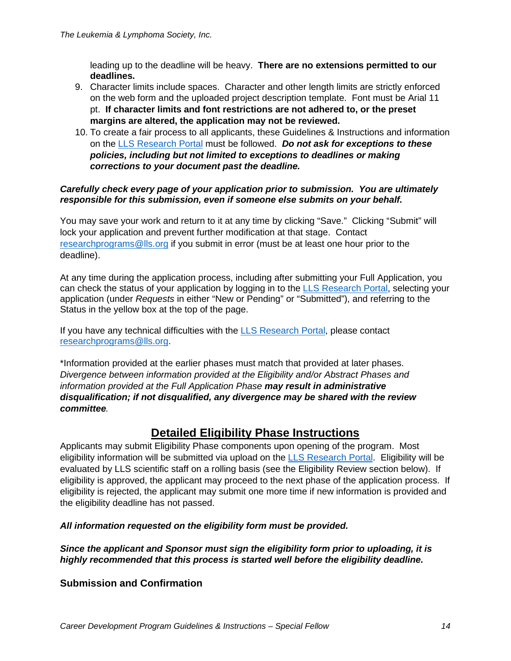leading up to the deadline will be heavy. **There are no extensions permitted to our deadlines.**

- 9. Character limits include spaces. Character and other length limits are strictly enforced on the web form and the uploaded project description template. Font must be Arial 11 pt. **If character limits and font restrictions are not adhered to, or the preset margins are altered, the application may not be reviewed.**
- 10. To create a fair process to all applicants, these Guidelines & Instructions and information on the [LLS Research Portal](https://lls.fluxx.io/) must be followed. *Do not ask for exceptions to these policies, including but not limited to exceptions to deadlines or making corrections to your document past the deadline.*

#### *Carefully check every page of your application prior to submission. You are ultimately responsible for this submission, even if someone else submits on your behalf.*

You may save your work and return to it at any time by clicking "Save." Clicking "Submit" will lock your application and prevent further modification at that stage. Contact [researchprograms@lls.org](mailto:researchprograms@lls.org) if you submit in error (must be at least one hour prior to the deadline).

At any time during the application process, including after submitting your Full Application, you can check the status of your application by logging in to the [LLS Research Portal,](https://lls.fluxx.io/) selecting your application (under *Requests* in either "New or Pending" or "Submitted"), and referring to the Status in the yellow box at the top of the page.

If you have any technical difficulties with the LLS [Research](https://lls.fluxx.io/) [Portal,](https://lls.fluxx.io/) please contact [researchprograms@lls.org.](mailto:researchprograms@lls.org)

\*Information provided at the earlier phases must match that provided at later phases. *Divergence between information provided at the Eligibility and/or Abstract Phases and information provided at the Full Application Phase may result in administrative disqualification; if not disqualified, any divergence may be shared with the review committee.*

# **Detailed Eligibility Phase Instructions**

Applicants may submit Eligibility Phase components upon opening of the program. Most eligibility information will be submitted via upload on the [LLS Research Portal.](https://lls.fluxx.io/) Eligibility will be evaluated by LLS scientific staff on a rolling basis (see the Eligibility Review section below). If eligibility is approved, the applicant may proceed to the next phase of the application process. If eligibility is rejected, the applicant may submit one more time if new information is provided and the eligibility deadline has not passed.

#### *All information requested on the eligibility form must be provided.*

*Since the applicant and Sponsor must sign the eligibility form prior to uploading, it is highly recommended that this process is started well before the eligibility deadline.*

## **Submission and Confirmation**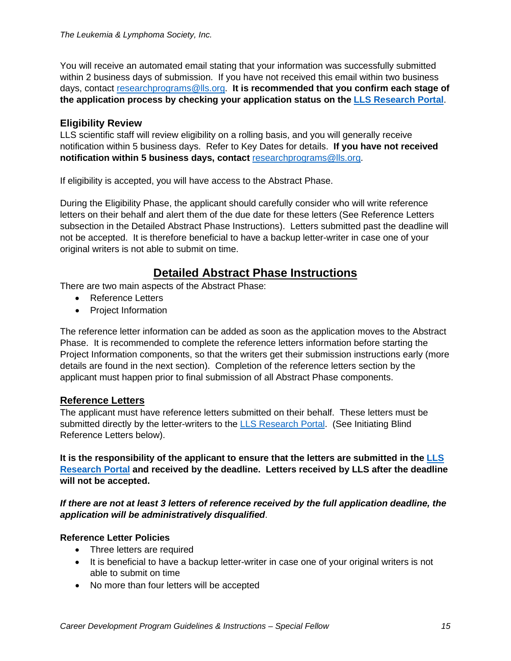You will receive an automated email stating that your information was successfully submitted within 2 business days of submission. If you have not received this email within two business days, contact [researchprograms@lls.org.](mailto:researchprograms@lls.org) **It is recommended that you confirm each stage of the application process by checking your application status on the [LLS Research Portal](https://lls.fluxx.io/)**.

#### **Eligibility Review**

LLS scientific staff will review eligibility on a rolling basis, and you will generally receive notification within 5 business days. Refer to Key Dates for details. **If you have not received notification within 5 business days, contact** [researchprograms@lls.org.](mailto:researchprograms@lls.org)

If eligibility is accepted, you will have access to the Abstract Phase.

During the Eligibility Phase, the applicant should carefully consider who will write reference letters on their behalf and alert them of the due date for these letters (See Reference Letters subsection in the Detailed Abstract Phase Instructions). Letters submitted past the deadline will not be accepted. It is therefore beneficial to have a backup letter-writer in case one of your original writers is not able to submit on time.

# **Detailed Abstract Phase Instructions**

There are two main aspects of the Abstract Phase:

- Reference Letters
- Project Information

The reference letter information can be added as soon as the application moves to the Abstract Phase. It is recommended to complete the reference letters information before starting the Project Information components, so that the writers get their submission instructions early (more details are found in the next section). Completion of the reference letters section by the applicant must happen prior to final submission of all Abstract Phase components.

#### **Reference Letters**

The applicant must have reference letters submitted on their behalf. These letters must be submitted directly by the letter-writers to the [LLS Research Portal.](https://lls.fluxx.io/) (See Initiating Blind Reference Letters below).

**It is the responsibility of the applicant to ensure that the letters are submitted in the [LLS](https://lls.fluxx.io/)  [Research Portal](https://lls.fluxx.io/) and received by the deadline. Letters received by LLS after the deadline will not be accepted.**

*If there are not at least 3 letters of reference received by the full application deadline, the application will be administratively disqualified*.

#### **Reference Letter Policies**

- Three letters are required
- It is beneficial to have a backup letter-writer in case one of your original writers is not able to submit on time
- No more than four letters will be accepted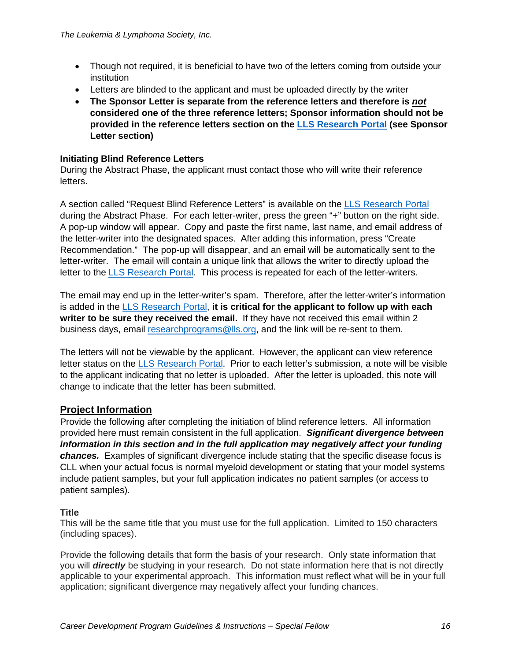- Though not required, it is beneficial to have two of the letters coming from outside your institution
- Letters are blinded to the applicant and must be uploaded directly by the writer
- **The Sponsor Letter is separate from the reference letters and therefore is** *not* **considered one of the three reference letters; Sponsor information should not be provided in the reference letters section on the [LLS Research Portal](https://lls.fluxx.io/) (see Sponsor Letter section)**

#### **Initiating Blind Reference Letters**

During the Abstract Phase, the applicant must contact those who will write their reference letters.

A section called "Request Blind Reference Letters" is available on the [LLS Research Portal](https://lls.fluxx.io/) during the Abstract Phase. For each letter-writer, press the green "+" button on the right side. A pop-up window will appear. Copy and paste the first name, last name, and email address of the letter-writer into the designated spaces. After adding this information, press "Create Recommendation." The pop-up will disappear, and an email will be automatically sent to the letter-writer. The email will contain a unique link that allows the writer to directly upload the letter to the [LLS Research Portal.](https://lls.fluxx.io/) This process is repeated for each of the letter-writers.

The email may end up in the letter-writer's spam. Therefore, after the letter-writer's information is added in the [LLS Research Portal,](https://lls.fluxx.io/) **it is critical for the applicant to follow up with each writer to be sure they received the email.** If they have not received this email within 2 business days, email [researchprograms@lls.org,](mailto:researchprograms@lls.org) and the link will be re-sent to them.

The letters will not be viewable by the applicant. However, the applicant can view reference letter status on the [LLS Research Portal.](https://lls.fluxx.io/) Prior to each letter's submission, a note will be visible to the applicant indicating that no letter is uploaded. After the letter is uploaded, this note will change to indicate that the letter has been submitted.

#### **Project Information**

Provide the following after completing the initiation of blind reference letters. All information provided here must remain consistent in the full application. *Significant divergence between information in this section and in the full application may negatively affect your funding chances.* Examples of significant divergence include stating that the specific disease focus is CLL when your actual focus is normal myeloid development or stating that your model systems include patient samples, but your full application indicates no patient samples (or access to patient samples).

#### **Title**

This will be the same title that you must use for the full application. Limited to 150 characters (including spaces).

Provide the following details that form the basis of your research. Only state information that you will *directly* be studying in your research. Do not state information here that is not directly applicable to your experimental approach. This information must reflect what will be in your full application; significant divergence may negatively affect your funding chances.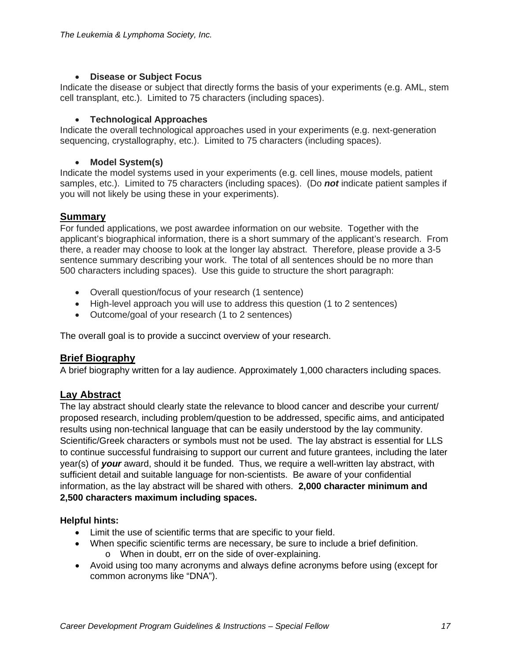#### • **Disease or Subject Focus**

Indicate the disease or subject that directly forms the basis of your experiments (e.g. AML, stem cell transplant, etc.). Limited to 75 characters (including spaces).

#### • **Technological Approaches**

Indicate the overall technological approaches used in your experiments (e.g. next-generation sequencing, crystallography, etc.). Limited to 75 characters (including spaces).

#### • **Model System(s)**

Indicate the model systems used in your experiments (e.g. cell lines, mouse models, patient samples, etc.). Limited to 75 characters (including spaces). (Do *not* indicate patient samples if you will not likely be using these in your experiments).

## **Summary**

For funded applications, we post awardee information on our website. Together with the applicant's biographical information, there is a short summary of the applicant's research. From there, a reader may choose to look at the longer lay abstract. Therefore, please provide a 3-5 sentence summary describing your work. The total of all sentences should be no more than 500 characters including spaces). Use this guide to structure the short paragraph:

- Overall question/focus of your research (1 sentence)
- High-level approach you will use to address this question (1 to 2 sentences)
- Outcome/goal of your research (1 to 2 sentences)

The overall goal is to provide a succinct overview of your research.

#### **Brief Biography**

A brief biography written for a lay audience. Approximately 1,000 characters including spaces.

#### **Lay Abstract**

The lay abstract should clearly state the relevance to blood cancer and describe your current/ proposed research, including problem/question to be addressed, specific aims, and anticipated results using non-technical language that can be easily understood by the lay community. Scientific/Greek characters or symbols must not be used. The lay abstract is essential for LLS to continue successful fundraising to support our current and future grantees, including the later year(s) of *your* award, should it be funded. Thus, we require a well-written lay abstract, with sufficient detail and suitable language for non-scientists. Be aware of your confidential information, as the lay abstract will be shared with others. **2,000 character minimum and 2,500 characters maximum including spaces.**

#### **Helpful hints:**

- Limit the use of scientific terms that are specific to your field.
- When specific scientific terms are necessary, be sure to include a brief definition. o When in doubt, err on the side of over-explaining.
- Avoid using too many acronyms and always define acronyms before using (except for common acronyms like "DNA").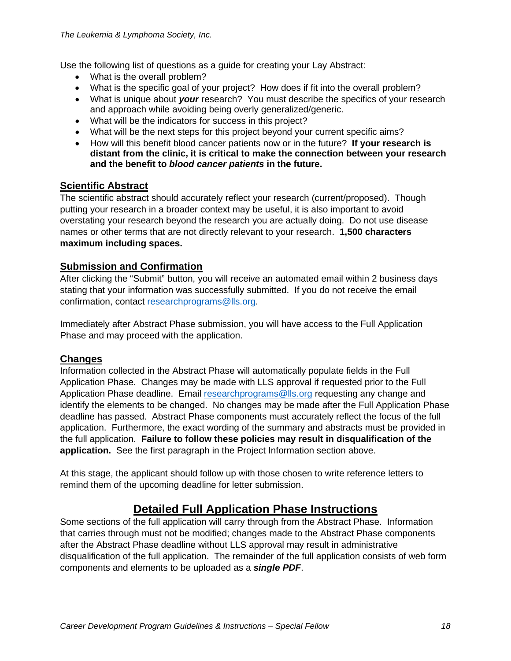Use the following list of questions as a guide for creating your Lay Abstract:

- What is the overall problem?
- What is the specific goal of your project? How does if fit into the overall problem?
- What is unique about *your* research? You must describe the specifics of your research and approach while avoiding being overly generalized/generic.
- What will be the indicators for success in this project?
- What will be the next steps for this project beyond your current specific aims?
- How will this benefit blood cancer patients now or in the future? **If your research is distant from the clinic, it is critical to make the connection between your research and the benefit to** *blood cancer patients* **in the future.**

#### **Scientific Abstract**

The scientific abstract should accurately reflect your research (current/proposed). Though putting your research in a broader context may be useful, it is also important to avoid overstating your research beyond the research you are actually doing. Do not use disease names or other terms that are not directly relevant to your research. **1,500 characters maximum including spaces.**

#### **Submission and Confirmation**

After clicking the "Submit" button, you will receive an automated email within 2 business days stating that your information was successfully submitted. If you do not receive the email confirmation, contact [researchprograms@lls.org.](mailto:researchprograms@lls.org)

Immediately after Abstract Phase submission, you will have access to the Full Application Phase and may proceed with the application.

#### **Changes**

Information collected in the Abstract Phase will automatically populate fields in the Full Application Phase. Changes may be made with LLS approval if requested prior to the Full Application Phase deadline. Email [researchprograms@lls.org](mailto:researchprograms@lls.org) requesting any change and identify the elements to be changed. No changes may be made after the Full Application Phase deadline has passed. Abstract Phase components must accurately reflect the focus of the full application. Furthermore, the exact wording of the summary and abstracts must be provided in the full application. **Failure to follow these policies may result in disqualification of the application.** See the first paragraph in the Project Information section above.

At this stage, the applicant should follow up with those chosen to write reference letters to remind them of the upcoming deadline for letter submission.

# **Detailed Full Application Phase Instructions**

Some sections of the full application will carry through from the Abstract Phase. Information that carries through must not be modified; changes made to the Abstract Phase components after the Abstract Phase deadline without LLS approval may result in administrative disqualification of the full application. The remainder of the full application consists of web form components and elements to be uploaded as a *single PDF*.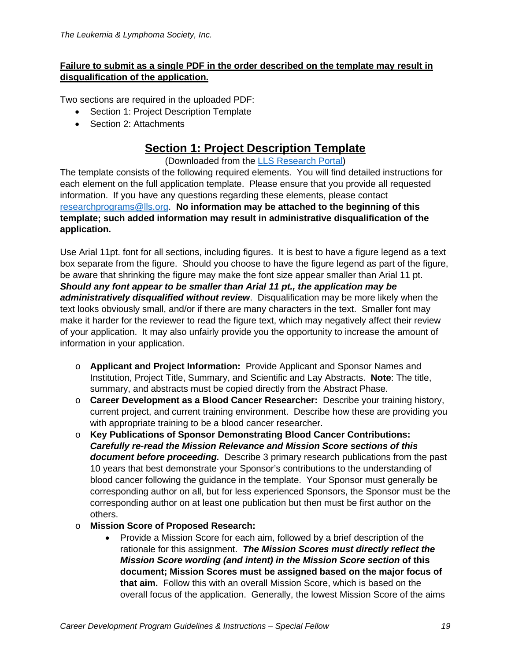#### **Failure to submit as a single PDF in the order described on the template may result in disqualification of the application.**

Two sections are required in the uploaded PDF:

- Section 1: Project Description Template
- Section 2: Attachments

# **Section 1: Project Description Template**

(Downloaded from the [LLS Research Portal\)](https://lls.fluxx.io/)

The template consists of the following required elements. You will find detailed instructions for each element on the full application template. Please ensure that you provide all requested information. If you have any questions regarding these elements, please contact [researchprograms@lls.org.](mailto:researchprograms@lls.org) **No information may be attached to the beginning of this template; such added information may result in administrative disqualification of the application.**

Use Arial 11pt. font for all sections, including figures. It is best to have a figure legend as a text box separate from the figure. Should you choose to have the figure legend as part of the figure, be aware that shrinking the figure may make the font size appear smaller than Arial 11 pt. *Should any font appear to be smaller than Arial 11 pt., the application may be administratively disqualified without review*. Disqualification may be more likely when the text looks obviously small, and/or if there are many characters in the text. Smaller font may make it harder for the reviewer to read the figure text, which may negatively affect their review of your application. It may also unfairly provide you the opportunity to increase the amount of information in your application.

- o **Applicant and Project Information:** Provide Applicant and Sponsor Names and Institution, Project Title, Summary, and Scientific and Lay Abstracts. **Note**: The title, summary, and abstracts must be copied directly from the Abstract Phase.
- o **Career Development as a Blood Cancer Researcher:** Describe your training history, current project, and current training environment. Describe how these are providing you with appropriate training to be a blood cancer researcher.
- o **Key Publications of Sponsor Demonstrating Blood Cancer Contributions:** *Carefully re-read the Mission Relevance and Mission Score sections of this document before proceeding.* Describe 3 primary research publications from the past 10 years that best demonstrate your Sponsor's contributions to the understanding of blood cancer following the guidance in the template. Your Sponsor must generally be corresponding author on all, but for less experienced Sponsors, the Sponsor must be the corresponding author on at least one publication but then must be first author on the others.
- o **Mission Score of Proposed Research:**
	- Provide a Mission Score for each aim, followed by a brief description of the rationale for this assignment. *The Mission Scores must directly reflect the Mission Score wording (and intent) in the Mission Score section* **of this document; Mission Scores must be assigned based on the major focus of that aim.** Follow this with an overall Mission Score, which is based on the overall focus of the application. Generally, the lowest Mission Score of the aims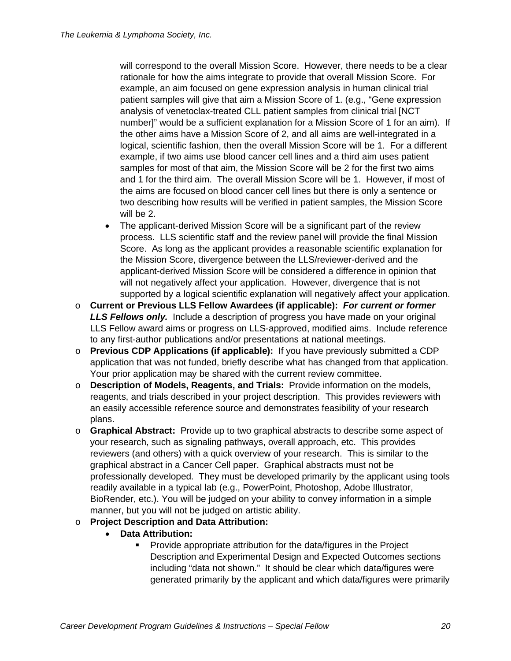will correspond to the overall Mission Score. However, there needs to be a clear rationale for how the aims integrate to provide that overall Mission Score. For example, an aim focused on gene expression analysis in human clinical trial patient samples will give that aim a Mission Score of 1. (e.g., "Gene expression analysis of venetoclax-treated CLL patient samples from clinical trial [NCT number]" would be a sufficient explanation for a Mission Score of 1 for an aim). If the other aims have a Mission Score of 2, and all aims are well-integrated in a logical, scientific fashion, then the overall Mission Score will be 1. For a different example, if two aims use blood cancer cell lines and a third aim uses patient samples for most of that aim, the Mission Score will be 2 for the first two aims and 1 for the third aim. The overall Mission Score will be 1. However, if most of the aims are focused on blood cancer cell lines but there is only a sentence or two describing how results will be verified in patient samples, the Mission Score will be 2.

- The applicant-derived Mission Score will be a significant part of the review process. LLS scientific staff and the review panel will provide the final Mission Score. As long as the applicant provides a reasonable scientific explanation for the Mission Score, divergence between the LLS/reviewer-derived and the applicant-derived Mission Score will be considered a difference in opinion that will not negatively affect your application. However, divergence that is not supported by a logical scientific explanation will negatively affect your application.
- o **Current or Previous LLS Fellow Awardees (if applicable):** *For current or former LLS Fellows only.* Include a description of progress you have made on your original LLS Fellow award aims or progress on LLS-approved, modified aims. Include reference to any first-author publications and/or presentations at national meetings.
- o **Previous CDP Applications (if applicable):** If you have previously submitted a CDP application that was not funded, briefly describe what has changed from that application. Your prior application may be shared with the current review committee.
- o **Description of Models, Reagents, and Trials:** Provide information on the models, reagents, and trials described in your project description. This provides reviewers with an easily accessible reference source and demonstrates feasibility of your research plans.
- o **Graphical Abstract:** Provide up to two graphical abstracts to describe some aspect of your research, such as signaling pathways, overall approach, etc. This provides reviewers (and others) with a quick overview of your research. This is similar to the graphical abstract in a Cancer Cell paper. Graphical abstracts must not be professionally developed. They must be developed primarily by the applicant using tools readily available in a typical lab (e.g., PowerPoint, Photoshop, Adobe Illustrator, BioRender, etc.). You will be judged on your ability to convey information in a simple manner, but you will not be judged on artistic ability.
- o **Project Description and Data Attribution:**
	- **Data Attribution:**
		- Provide appropriate attribution for the data/figures in the Project Description and Experimental Design and Expected Outcomes sections including "data not shown." It should be clear which data/figures were generated primarily by the applicant and which data/figures were primarily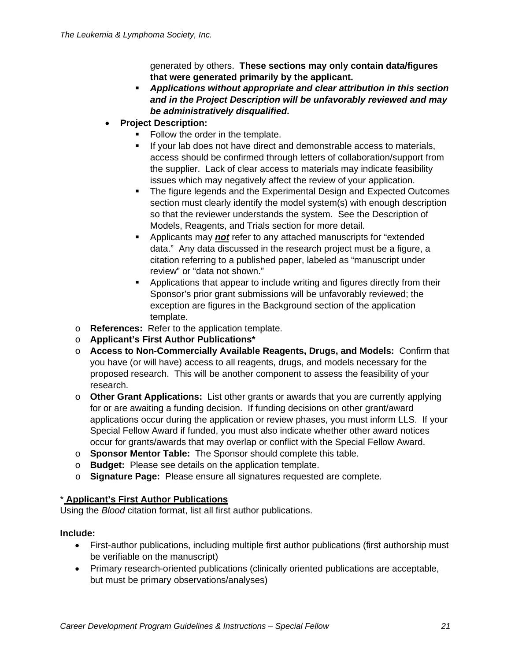generated by others. **These sections may only contain data/figures that were generated primarily by the applicant.** 

- *Applications without appropriate and clear attribution in this section and in the Project Description will be unfavorably reviewed and may be administratively disqualified***.**
- **Project Description:**
	- Follow the order in the template.
	- If your lab does not have direct and demonstrable access to materials, access should be confirmed through letters of collaboration/support from the supplier. Lack of clear access to materials may indicate feasibility issues which may negatively affect the review of your application.
	- The figure legends and the Experimental Design and Expected Outcomes section must clearly identify the model system(s) with enough description so that the reviewer understands the system. See the Description of Models, Reagents, and Trials section for more detail.
	- **EXTERN** Applicants may **not** refer to any attached manuscripts for "extended data." Any data discussed in the research project must be a figure, a citation referring to a published paper, labeled as "manuscript under review" or "data not shown."
	- **•** Applications that appear to include writing and figures directly from their Sponsor's prior grant submissions will be unfavorably reviewed; the exception are figures in the Background section of the application template.
- o **References:** Refer to the application template.
- o **Applicant's First Author Publications\***
- o **Access to Non-Commercially Available Reagents, Drugs, and Models:** Confirm that you have (or will have) access to all reagents, drugs, and models necessary for the proposed research. This will be another component to assess the feasibility of your research.
- o **Other Grant Applications:** List other grants or awards that you are currently applying for or are awaiting a funding decision. If funding decisions on other grant/award applications occur during the application or review phases, you must inform LLS. If your Special Fellow Award if funded, you must also indicate whether other award notices occur for grants/awards that may overlap or conflict with the Special Fellow Award.
- o **Sponsor Mentor Table:** The Sponsor should complete this table.
- o **Budget:** Please see details on the application template.
- o **Signature Page:** Please ensure all signatures requested are complete.

#### \* **Applicant's First Author Publications**

Using the *Blood* citation format, list all first author publications.

#### **Include:**

- First-author publications, including multiple first author publications (first authorship must be verifiable on the manuscript)
- Primary research-oriented publications (clinically oriented publications are acceptable, but must be primary observations/analyses)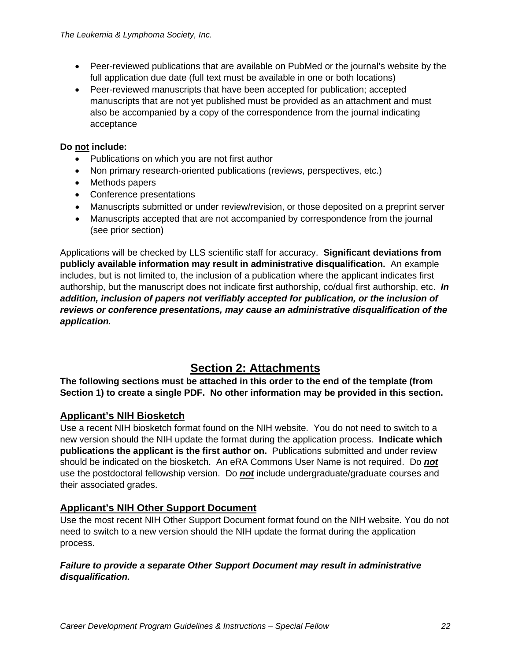- Peer-reviewed publications that are available on PubMed or the journal's website by the full application due date (full text must be available in one or both locations)
- Peer-reviewed manuscripts that have been accepted for publication; accepted manuscripts that are not yet published must be provided as an attachment and must also be accompanied by a copy of the correspondence from the journal indicating acceptance

#### **Do not include:**

- Publications on which you are not first author
- Non primary research-oriented publications (reviews, perspectives, etc.)
- Methods papers
- Conference presentations
- Manuscripts submitted or under review/revision, or those deposited on a preprint server
- Manuscripts accepted that are not accompanied by correspondence from the journal (see prior section)

Applications will be checked by LLS scientific staff for accuracy. **Significant deviations from publicly available information may result in administrative disqualification.** An example includes, but is not limited to, the inclusion of a publication where the applicant indicates first authorship, but the manuscript does not indicate first authorship, co/dual first authorship, etc. *In addition, inclusion of papers not verifiably accepted for publication, or the inclusion of reviews or conference presentations, may cause an administrative disqualification of the application.*

# **Section 2: Attachments**

**The following sections must be attached in this order to the end of the template (from Section 1) to create a single PDF. No other information may be provided in this section.**

## **Applicant's NIH Biosketch**

Use a recent NIH biosketch format found on the NIH website. You do not need to switch to a new version should the NIH update the format during the application process. **Indicate which publications the applicant is the first author on.** Publications submitted and under review should be indicated on the biosketch. An eRA Commons User Name is not required. Do *not* use the postdoctoral fellowship version. Do *not* include undergraduate/graduate courses and their associated grades.

## **Applicant's NIH Other Support Document**

Use the most recent NIH Other Support Document format found on the NIH website. You do not need to switch to a new version should the NIH update the format during the application process.

#### *Failure to provide a separate Other Support Document may result in administrative disqualification.*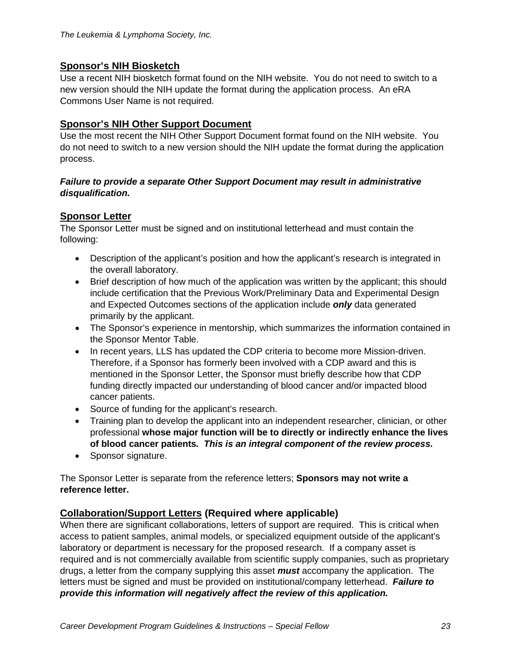#### **Sponsor's NIH Biosketch**

Use a recent NIH biosketch format found on the NIH website. You do not need to switch to a new version should the NIH update the format during the application process. An eRA Commons User Name is not required.

#### **Sponsor's NIH Other Support Document**

Use the most recent the NIH Other Support Document format found on the NIH website. You do not need to switch to a new version should the NIH update the format during the application process.

#### *Failure to provide a separate Other Support Document may result in administrative disqualification.*

## **Sponsor Letter**

The Sponsor Letter must be signed and on institutional letterhead and must contain the following:

- Description of the applicant's position and how the applicant's research is integrated in the overall laboratory.
- Brief description of how much of the application was written by the applicant; this should include certification that the Previous Work/Preliminary Data and Experimental Design and Expected Outcomes sections of the application include *only* data generated primarily by the applicant.
- The Sponsor's experience in mentorship, which summarizes the information contained in the Sponsor Mentor Table.
- In recent years, LLS has updated the CDP criteria to become more Mission-driven. Therefore, if a Sponsor has formerly been involved with a CDP award and this is mentioned in the Sponsor Letter, the Sponsor must briefly describe how that CDP funding directly impacted our understanding of blood cancer and/or impacted blood cancer patients.
- Source of funding for the applicant's research.
- Training plan to develop the applicant into an independent researcher, clinician, or other professional **whose major function will be to directly or indirectly enhance the lives of blood cancer patients***. This is an integral component of the review process.*
- Sponsor signature.

The Sponsor Letter is separate from the reference letters; **Sponsors may not write a reference letter.** 

#### **Collaboration/Support Letters (Required where applicable)**

When there are significant collaborations, letters of support are required. This is critical when access to patient samples, animal models, or specialized equipment outside of the applicant's laboratory or department is necessary for the proposed research. If a company asset is required and is not commercially available from scientific supply companies, such as proprietary drugs, a letter from the company supplying this asset *must* accompany the application. The letters must be signed and must be provided on institutional/company letterhead. *Failure to provide this information will negatively affect the review of this application.*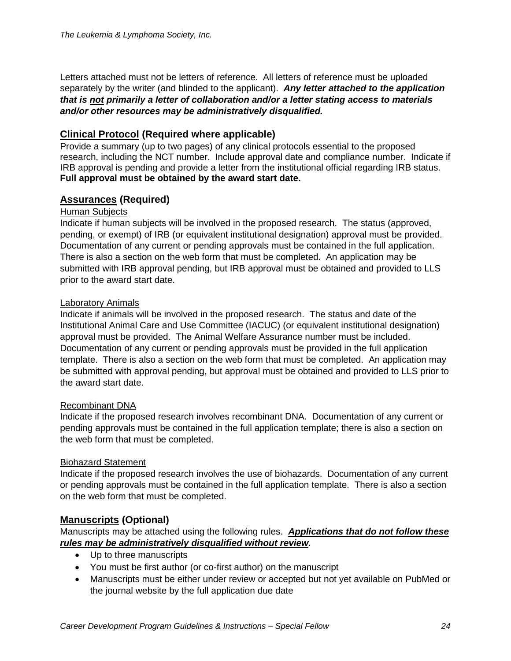Letters attached must not be letters of reference. All letters of reference must be uploaded separately by the writer (and blinded to the applicant). *Any letter attached to the application that is not primarily a letter of collaboration and/or a letter stating access to materials and/or other resources may be administratively disqualified.*

## **Clinical Protocol (Required where applicable)**

Provide a summary (up to two pages) of any clinical protocols essential to the proposed research, including the NCT number. Include approval date and compliance number. Indicate if IRB approval is pending and provide a letter from the institutional official regarding IRB status. **Full approval must be obtained by the award start date.**

## **Assurances (Required)**

#### Human Subjects

Indicate if human subjects will be involved in the proposed research. The status (approved, pending, or exempt) of IRB (or equivalent institutional designation) approval must be provided. Documentation of any current or pending approvals must be contained in the full application. There is also a section on the web form that must be completed. An application may be submitted with IRB approval pending, but IRB approval must be obtained and provided to LLS prior to the award start date.

#### Laboratory Animals

Indicate if animals will be involved in the proposed research. The status and date of the Institutional Animal Care and Use Committee (IACUC) (or equivalent institutional designation) approval must be provided. The Animal Welfare Assurance number must be included. Documentation of any current or pending approvals must be provided in the full application template. There is also a section on the web form that must be completed. An application may be submitted with approval pending, but approval must be obtained and provided to LLS prior to the award start date.

#### Recombinant DNA

Indicate if the proposed research involves recombinant DNA. Documentation of any current or pending approvals must be contained in the full application template; there is also a section on the web form that must be completed.

#### Biohazard Statement

Indicate if the proposed research involves the use of biohazards. Documentation of any current or pending approvals must be contained in the full application template. There is also a section on the web form that must be completed.

#### **Manuscripts (Optional)**

Manuscripts may be attached using the following rules. *Applications that do not follow these rules may be administratively disqualified without review.*

- Up to three manuscripts
- You must be first author (or co-first author) on the manuscript
- Manuscripts must be either under review or accepted but not yet available on PubMed or the journal website by the full application due date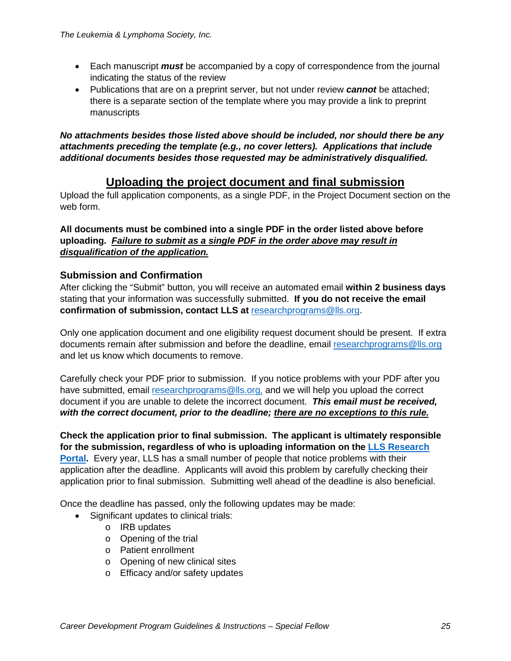- Each manuscript *must* be accompanied by a copy of correspondence from the journal indicating the status of the review
- Publications that are on a preprint server, but not under review *cannot* be attached; there is a separate section of the template where you may provide a link to preprint manuscripts

*No attachments besides those listed above should be included, nor should there be any attachments preceding the template (e.g., no cover letters). Applications that include additional documents besides those requested may be administratively disqualified.*

# **Uploading the project document and final submission**

Upload the full application components, as a single PDF, in the Project Document section on the web form.

**All documents must be combined into a single PDF in the order listed above before uploading.** *Failure to submit as a single PDF in the order above may result in disqualification of the application.*

#### **Submission and Confirmation**

After clicking the "Submit" button, you will receive an automated email **within 2 business days**  stating that your information was successfully submitted. **If you do not receive the email confirmation of submission, contact LLS at**[researchprograms@lls.org.](mailto:researchprograms@lls.org)

Only one application document and one eligibility request document should be present. If extra documents remain after submission and before the deadline, email [researchprograms@lls.org](mailto:researchprograms@lls.org) and let us know which documents to remove.

Carefully check your PDF prior to submission. If you notice problems with your PDF after you have submitted, email [researchprograms@lls.org,](mailto:researchprograms@lls.org) and we will help you upload the correct document if you are unable to delete the incorrect document. *This email must be received, with the correct document, prior to the deadline; there are no exceptions to this rule.*

**Check the application prior to final submission. The applicant is ultimately responsible for the submission, regardless of who is uploading information on the [LLS Research](https://lls.fluxx.io/)  [Portal.](https://lls.fluxx.io/)** Every year, LLS has a small number of people that notice problems with their application after the deadline. Applicants will avoid this problem by carefully checking their application prior to final submission. Submitting well ahead of the deadline is also beneficial.

Once the deadline has passed, only the following updates may be made:

- Significant updates to clinical trials:
	- o IRB updates
	- o Opening of the trial
	- o Patient enrollment
	- o Opening of new clinical sites
	- o Efficacy and/or safety updates